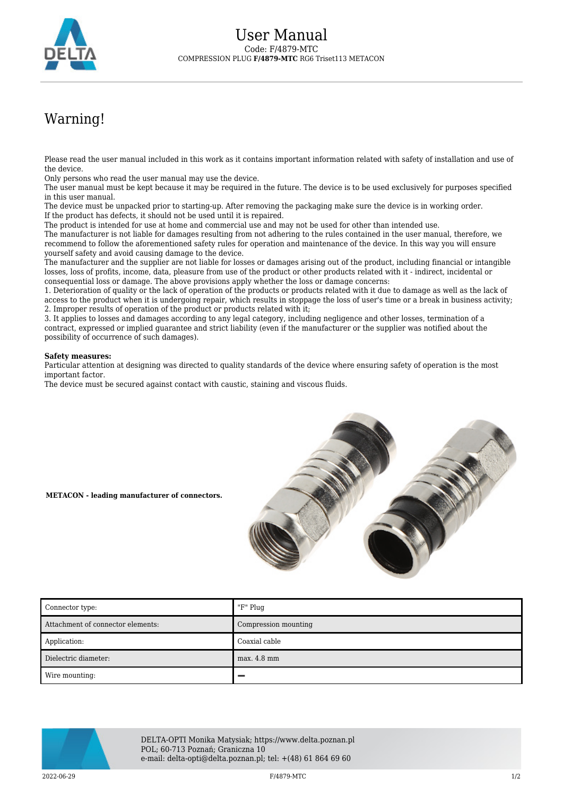

## Warning!

Please read the user manual included in this work as it contains important information related with safety of installation and use of the device.

Only persons who read the user manual may use the device.

The user manual must be kept because it may be required in the future. The device is to be used exclusively for purposes specified in this user manual.

The device must be unpacked prior to starting-up. After removing the packaging make sure the device is in working order. If the product has defects, it should not be used until it is repaired.

The product is intended for use at home and commercial use and may not be used for other than intended use.

The manufacturer is not liable for damages resulting from not adhering to the rules contained in the user manual, therefore, we recommend to follow the aforementioned safety rules for operation and maintenance of the device. In this way you will ensure yourself safety and avoid causing damage to the device.

The manufacturer and the supplier are not liable for losses or damages arising out of the product, including financial or intangible losses, loss of profits, income, data, pleasure from use of the product or other products related with it - indirect, incidental or consequential loss or damage. The above provisions apply whether the loss or damage concerns:

1. Deterioration of quality or the lack of operation of the products or products related with it due to damage as well as the lack of access to the product when it is undergoing repair, which results in stoppage the loss of user's time or a break in business activity; 2. Improper results of operation of the product or products related with it;

3. It applies to losses and damages according to any legal category, including negligence and other losses, termination of a contract, expressed or implied guarantee and strict liability (even if the manufacturer or the supplier was notified about the possibility of occurrence of such damages).

## **Safety measures:**

Particular attention at designing was directed to quality standards of the device where ensuring safety of operation is the most important factor.

The device must be secured against contact with caustic, staining and viscous fluids.



## **METACON - leading manufacturer of connectors.**

| Connector type:                   | "F" Plug             |
|-----------------------------------|----------------------|
| Attachment of connector elements: | Compression mounting |
| Application:                      | Coaxial cable        |
| Dielectric diameter:              | max. 4.8 mm          |
| Wire mounting:                    |                      |



DELTA-OPTI Monika Matysiak; https://www.delta.poznan.pl POL; 60-713 Poznań; Graniczna 10 e-mail: delta-opti@delta.poznan.pl; tel: +(48) 61 864 69 60